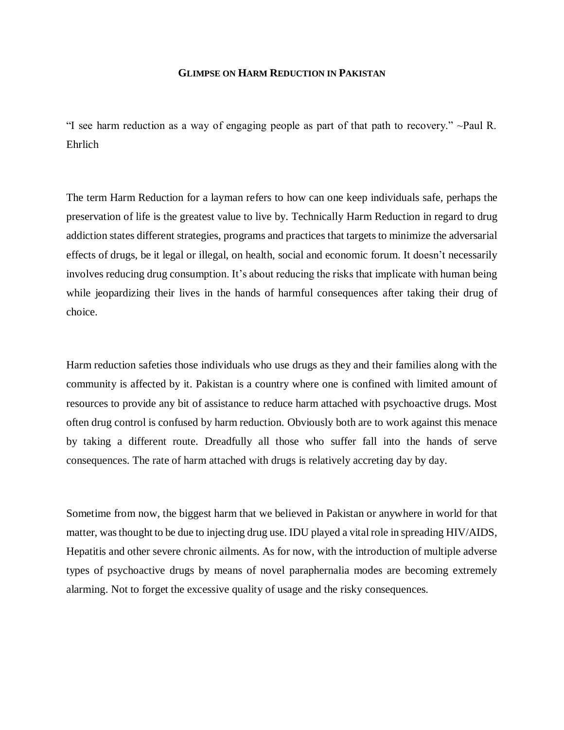## **GLIMPSE ON HARM REDUCTION IN PAKISTAN**

"I see harm reduction as a way of engaging people as part of that path to recovery." ~Paul R. Ehrlich

The term Harm Reduction for a layman refers to how can one keep individuals safe, perhaps the preservation of life is the greatest value to live by. Technically Harm Reduction in regard to drug addiction states different strategies, programs and practices that targets to minimize the adversarial effects of drugs, be it legal or illegal, on health, social and economic forum. It doesn't necessarily involves reducing drug consumption. It's about reducing the risks that implicate with human being while jeopardizing their lives in the hands of harmful consequences after taking their drug of choice.

Harm reduction safeties those individuals who use drugs as they and their families along with the community is affected by it. Pakistan is a country where one is confined with limited amount of resources to provide any bit of assistance to reduce harm attached with psychoactive drugs. Most often drug control is confused by harm reduction. Obviously both are to work against this menace by taking a different route. Dreadfully all those who suffer fall into the hands of serve consequences. The rate of harm attached with drugs is relatively accreting day by day.

Sometime from now, the biggest harm that we believed in Pakistan or anywhere in world for that matter, was thought to be due to injecting drug use. IDU played a vital role in spreading HIV/AIDS, Hepatitis and other severe chronic ailments. As for now, with the introduction of multiple adverse types of psychoactive drugs by means of novel paraphernalia modes are becoming extremely alarming. Not to forget the excessive quality of usage and the risky consequences.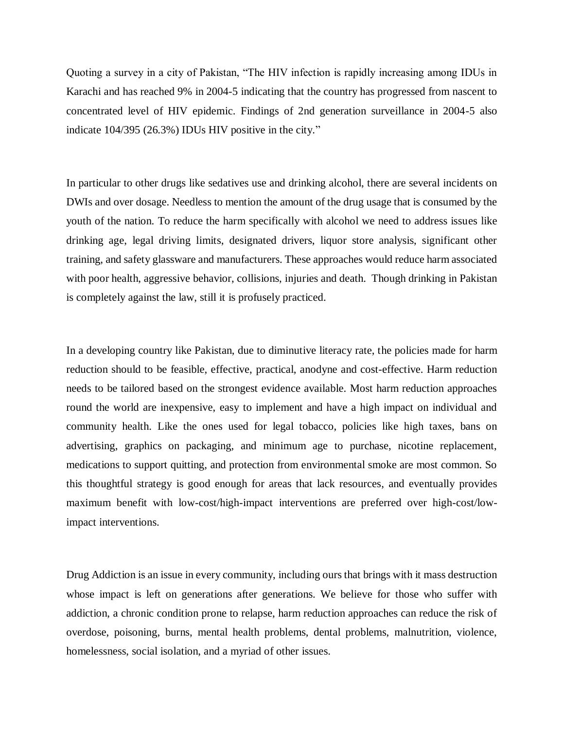Quoting a survey in a city of Pakistan, "The HIV infection is rapidly increasing among IDUs in Karachi and has reached 9% in 2004-5 indicating that the country has progressed from nascent to concentrated level of HIV epidemic. Findings of 2nd generation surveillance in 2004-5 also indicate 104/395 (26.3%) IDUs HIV positive in the city."

In particular to other drugs like sedatives use and drinking alcohol, there are several incidents on DWIs and over dosage. Needless to mention the amount of the drug usage that is consumed by the youth of the nation. To reduce the harm specifically with alcohol we need to address issues like drinking age, legal driving limits, designated drivers, liquor store analysis, significant other training, and safety glassware and manufacturers. These approaches would reduce harm associated with poor health, aggressive behavior, collisions, injuries and death. Though drinking in Pakistan is completely against the law, still it is profusely practiced.

In a developing country like Pakistan, due to diminutive literacy rate, the policies made for harm reduction should to be feasible, effective, practical, anodyne and cost-effective. Harm reduction needs to be tailored based on the strongest evidence available. Most harm reduction approaches round the world are inexpensive, easy to implement and have a high impact on individual and community health. Like the ones used for legal tobacco, policies like high taxes, bans on advertising, graphics on packaging, and minimum age to purchase, nicotine replacement, medications to support quitting, and protection from environmental smoke are most common. So this thoughtful strategy is good enough for areas that lack resources, and eventually provides maximum benefit with low-cost/high-impact interventions are preferred over high-cost/lowimpact interventions.

Drug Addiction is an issue in every community, including ours that brings with it mass destruction whose impact is left on generations after generations. We believe for those who suffer with addiction, a chronic condition prone to relapse, harm reduction approaches can reduce the risk of overdose, poisoning, burns, mental health problems, dental problems, malnutrition, violence, homelessness, social isolation, and a myriad of other issues.